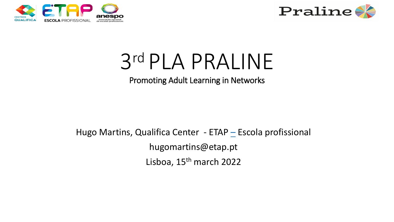



# 3 rd PLA PRALINE

Promoting Adult Learning in Networks

Hugo Martins, Qualifica Center -  $ETAP -$  Escola profissional hugomartins@etap.pt Lisboa, 15<sup>th</sup> march 2022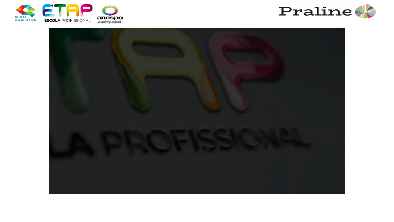



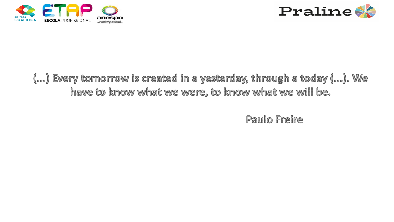



# (...) Every tomorrow is created in a yesterday, through a today (...). We have to know what we were, to know what we will be.

Paulo Freire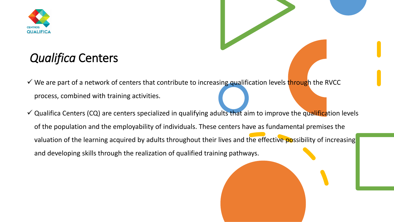

# *Qualifica* Centers

- ✓ We are part of a network of centers that contribute to increasing qualification levels through the RVCC process, combined with training activities.
- ✓ Qualifica Centers (CQ) are centers specialized in qualifying adults that aim to improve the qualification levels of the population and the employability of individuals. These centers have as fundamental premises the valuation of the learning acquired by adults throughout their lives and the effective possibility of increasing and developing skills through the realization of qualified training pathways.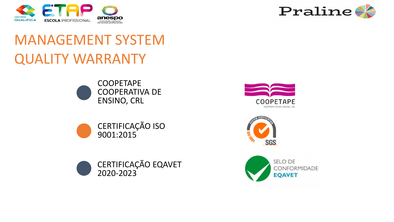



# MANAGEMENT SYSTEM QUALITY WARRANTY











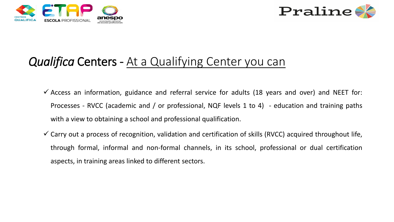



# *Qualifica* Centers - At a Qualifying Center you can

- $\checkmark$  Access an information, guidance and referral service for adults (18 years and over) and NEET for: Processes - RVCC (academic and / or professional, NQF levels 1 to 4) - education and training paths with a view to obtaining a school and professional qualification.
- $\checkmark$  Carry out a process of recognition, validation and certification of skills (RVCC) acquired throughout life, through formal, informal and non-formal channels, in its school, professional or dual certification aspects, in training areas linked to different sectors.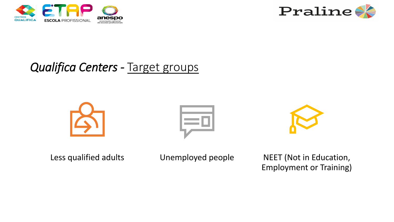



# *Qualifica Centers -* Target groups







Less qualified adults Unemployed people NEET (Not in Education, Employment or Training)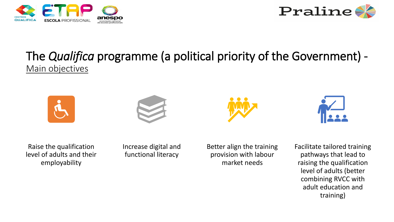



### The *Qualifica* programme (a political priority of the Government) - Main objectives









Raise the qualification level of adults and their employability

Increase digital and functional literacy

Better align the training provision with labour market needs

Facilitate tailored training pathways that lead to raising the qualification level of adults (better combining RVCC with adult education and training)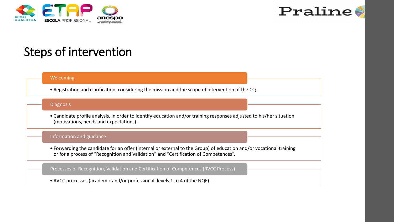



# Steps of intervention

#### **Welcoming**

• Registration and clarification, considering the mission and the scope of intervention of the CQ.

#### **Diagnosis**

• Candidate profile analysis, in order to identify education and/or training responses adjusted to his/her situation (motivations, needs and expectations).

#### Information and guidance

• Forwarding the candidate for an offer (internal or external to the Group) of education and/or vocational training or for a process of "Recognition and Validation" and "Certification of Competences".

Processes of Recognition, Validation and Certification of Competences (RVCC Process)

• RVCC processes (academic and/or professional, levels 1 to 4 of the NQF).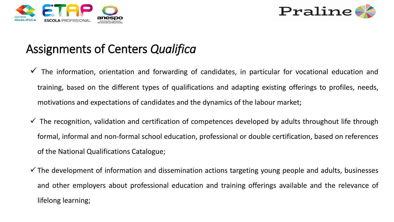



# Assignments of Centers *Qualifica*

- ✓ The information, orientation and forwarding of candidates, in particular for vocational education and training, based on the different types of qualifications and adapting existing offerings to profiles, needs, motivations and expectations of candidates and the dynamics of the labour market;
- $\checkmark$  The recognition, validation and certification of competences developed by adults throughout life through formal, informal and non-formal school education, professional or double certification, based on references of the National Qualifications Catalogue;
- $\checkmark$  The development of information and dissemination actions targeting young people and adults, businesses and other employers about professional education and training offerings available and the relevance of lifelong learning;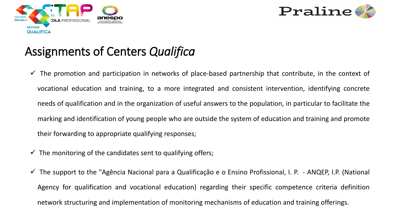



# Assignments of Centers *Qualifica*

- $\checkmark$  The promotion and participation in networks of place-based partnership that contribute, in the context of vocational education and training, to a more integrated and consistent intervention, identifying concrete needs of qualification and in the organization of useful answers to the population, in particular to facilitate the marking and identification of young people who are outside the system of education and training and promote their forwarding to appropriate qualifying responses;
- $\checkmark$  The monitoring of the candidates sent to qualifying offers;
- $\checkmark$  The support to the "Agência Nacional para a Qualificação e o Ensino Profissional, I. P. ANQEP, I.P. (National Agency for qualification and vocational education) regarding their specific competence criteria definition network structuring and implementation of monitoring mechanisms of education and training offerings.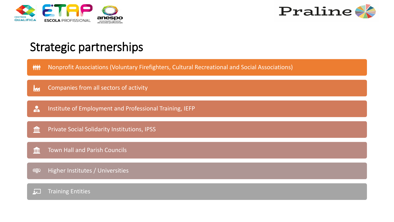



### Strategic partnerships

| <b>THE REAL</b>         | Nonprofit Associations (Voluntary Firefighters, Cultural Recreational and Social Associations) |
|-------------------------|------------------------------------------------------------------------------------------------|
| ka                      | Companies from all sectors of activity                                                         |
| <b>de</b>               | Institute of Employment and Professional Training, IEFP                                        |
| ffil                    | <b>Private Social Solidarity Institutions, IPSS</b>                                            |
| <b>im</b>               | <b>Town Hall and Parish Councils</b>                                                           |
| $\mathbb{R}$            | Higher Institutes / Universities                                                               |
| $\overline{\mathbf{v}}$ | <b>Training Entities</b>                                                                       |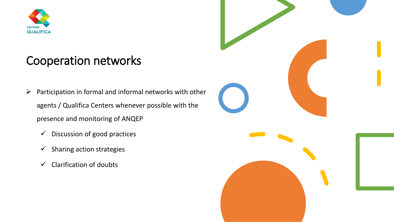

# Cooperation networks

- $\triangleright$  Participation in formal and informal networks with other agents / Qualifica Centers whenever possible with the presence and monitoring of ANQEP
	- $\checkmark$  Discussion of good practices
	- $\checkmark$  Sharing action strategies
	- $\checkmark$  Clarification of doubts

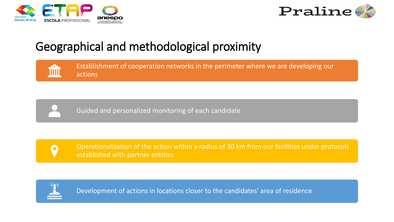



# Geographical and methodological proximity



Guided and personalized monitoring of each candidate

Operationalization of the action within a radius of 30 km from our facilities under protocols established with partner entities



Development of actions in locations closer to the candidates' area of residence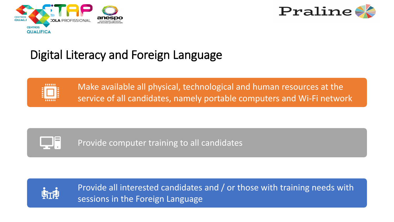



# Digital Literacy and Foreign Language



Make available all physical, technological and human resources at the service of all candidates, namely portable computers and Wi-Fi network



Provide computer training to all candidates



Provide all interested candidates and / or those with training needs with sessions in the Foreign Language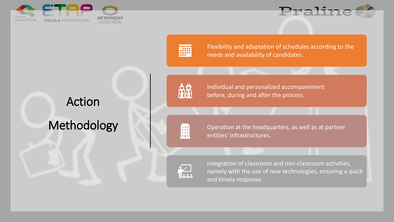



廱

Flexibility and adaptation of schedules according to the needs and availability of candidates.

Action

Methodology

Individual and personalized accompaniment before, during and after the process.

H

**AÅ** 

Operation at the headquarters, as well as at partner entities' infrastructures.



Integration of classroom and non-classroom activities, namely with the use of new technologies, ensuring a quick and timely response.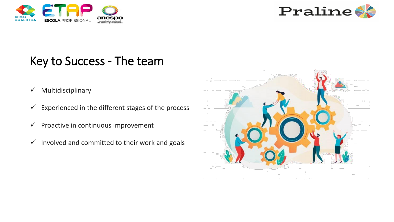



# Key to Success - The team

- ✓ Multidisciplinary
- $\checkmark$  Experienced in the different stages of the process
- $\checkmark$  Proactive in continuous improvement
- $\checkmark$  Involved and committed to their work and goals

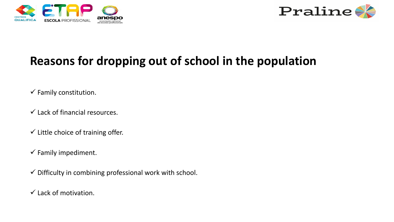



# **Reasons for dropping out of school in the population**

 $\checkmark$  Family constitution.

- $\checkmark$  Lack of financial resources.
- $\checkmark$  Little choice of training offer.
- $\checkmark$  Family impediment.
- $\checkmark$  Difficulty in combining professional work with school.
- $\checkmark$  Lack of motivation.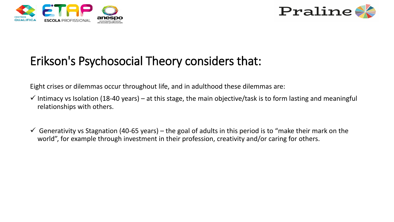



# Erikson's Psychosocial Theory considers that:

Eight crises or dilemmas occur throughout life, and in adulthood these dilemmas are:

- $\checkmark$  Intimacy vs Isolation (18-40 years) at this stage, the main objective/task is to form lasting and meaningful relationships with others.
- $\checkmark$  Generativity vs Stagnation (40-65 years) the goal of adults in this period is to "make their mark on the world", for example through investment in their profession, creativity and/or caring for others.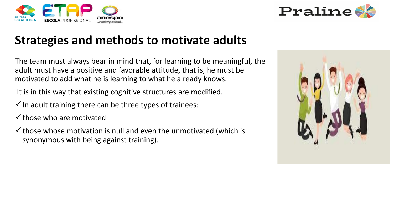



### **Strategies and methods to motivate adults**

The team must always bear in mind that, for learning to be meaningful, the adult must have a positive and favorable attitude, that is, he must be motivated to add what he is learning to what he already knows.

It is in this way that existing cognitive structures are modified.

- $\checkmark$  In adult training there can be three types of trainees:
- $\checkmark$  those who are motivated
- $\checkmark$  those whose motivation is null and even the unmotivated (which is synonymous with being against training).

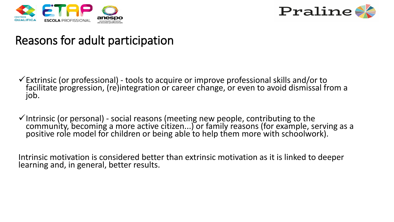



#### Reasons for adult participation

- $\checkmark$  Extrinsic (or professional) tools to acquire or improve professional skills and/or to facilitate progression, (re)integration or career change, or even to avoid dismissal from a job.
- $\checkmark$  Intrinsic (or personal) social reasons (meeting new people, contributing to the community, becoming a more active citizen...) or family reasons (for example, serving as a positive role model for children or being able to help them more with schoolwork).

Intrinsic motivation is considered better than extrinsic motivation as it is linked to deeper learning and, in general, better results.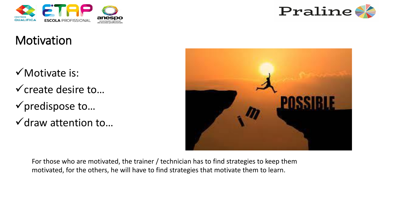



# **Motivation**

✓Motivate is:

- $\checkmark$  create desire to...
- $\checkmark$  predispose to...
- $\checkmark$  draw attention to...



For those who are motivated, the trainer / technician has to find strategies to keep them motivated, for the others, he will have to find strategies that motivate them to learn.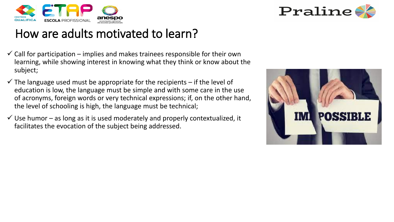



# How are adults motivated to learn?

- $\checkmark$  Call for participation implies and makes trainees responsible for their own learning, while showing interest in knowing what they think or know about the subject;
- $\checkmark$  The language used must be appropriate for the recipients if the level of education is low, the language must be simple and with some care in the use of acronyms, foreign words or very technical expressions; if, on the other hand, the level of schooling is high, the language must be technical;
- $\checkmark$  Use humor as long as it is used moderately and properly contextualized, it facilitates the evocation of the subject being addressed.

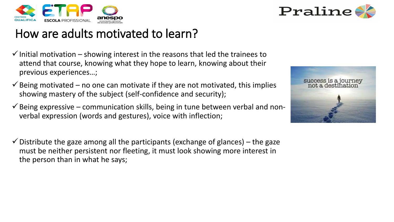



# How are adults motivated to learn?

- $\checkmark$  Initial motivation showing interest in the reasons that led the trainees to attend that course, knowing what they hope to learn, knowing about their previous experiences…;
- $\checkmark$  Being motivated no one can motivate if they are not motivated, this implies showing mastery of the subject (self-confidence and security);
- $\checkmark$  Being expressive communication skills, being in tune between verbal and nonverbal expression (words and gestures), voice with inflection;
- $\checkmark$  Distribute the gaze among all the participants (exchange of glances) the gaze must be neither persistent nor fleeting, it must look showing more interest in the person than in what he says;

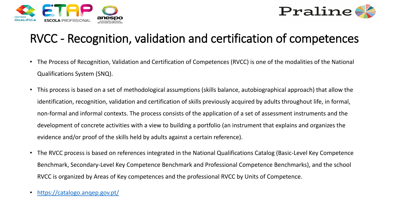



# RVCC - Recognition, validation and certification of competences

- The Process of Recognition, Validation and Certification of Competences (RVCC) is one of the modalities of the National Qualifications System (SNQ).
- This process is based on a set of methodological assumptions (skills balance, autobiographical approach) that allow the identification, recognition, validation and certification of skills previously acquired by adults throughout life, in formal, non-formal and informal contexts. The process consists of the application of a set of assessment instruments and the development of concrete activities with a view to building a portfolio (an instrument that explains and organizes the evidence and/or proof of the skills held by adults against a certain reference).
- The RVCC process is based on references integrated in the National Qualifications Catalog (Basic-Level Key Competence Benchmark, Secondary-Level Key Competence Benchmark and Professional Competence Benchmarks), and the school RVCC is organized by Areas of Key competences and the professional RVCC by Units of Competence.
- <https://catalogo.anqep.gov.pt/>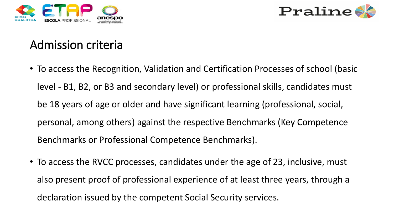



# Admission criteria

- To access the Recognition, Validation and Certification Processes of school (basic level - B1, B2, or B3 and secondary level) or professional skills, candidates must be 18 years of age or older and have significant learning (professional, social, personal, among others) against the respective Benchmarks (Key Competence Benchmarks or Professional Competence Benchmarks).
- To access the RVCC processes, candidates under the age of 23, inclusive, must also present proof of professional experience of at least three years, through a declaration issued by the competent Social Security services.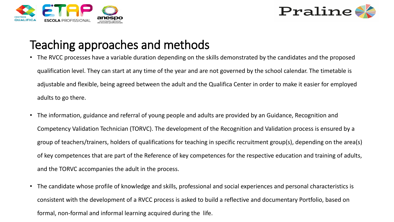



# Teaching approaches and methods

- The RVCC processes have a variable duration depending on the skills demonstrated by the candidates and the proposed qualification level. They can start at any time of the year and are not governed by the school calendar. The timetable is adjustable and flexible, being agreed between the adult and the Qualifica Center in order to make it easier for employed adults to go there.
- The information, guidance and referral of young people and adults are provided by an Guidance, Recognition and Competency Validation Technician (TORVC). The development of the Recognition and Validation process is ensured by a group of teachers/trainers, holders of qualifications for teaching in specific recruitment group(s), depending on the area(s) of key competences that are part of the Reference of key competences for the respective education and training of adults, and the TORVC accompanies the adult in the process.
- The candidate whose profile of knowledge and skills, professional and social experiences and personal characteristics is consistent with the development of a RVCC process is asked to build a reflective and documentary Portfolio, based on formal, non-formal and informal learning acquired during the life.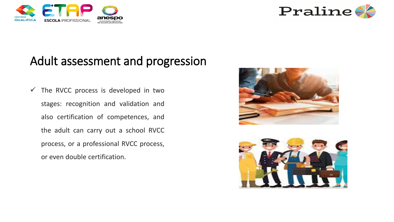

 $\checkmark$  The RVCC process is developed in two stages: recognition and validation and also certification of competences, and the adult can carry out a school RVCC process, or a professional RVCC process, or even double certification.

**QUALIFICA** 

**ESCOLA** PROFISSIONAL



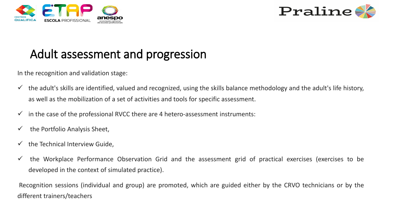



In the recognition and validation stage:

- $\checkmark$  the adult's skills are identified, valued and recognized, using the skills balance methodology and the adult's life history, as well as the mobilization of a set of activities and tools for specific assessment.
- $\checkmark$  in the case of the professional RVCC there are 4 hetero-assessment instruments:
- $\checkmark$  the Portfolio Analysis Sheet,
- $\checkmark$  the Technical Interview Guide,
- ✓ the Workplace Performance Observation Grid and the assessment grid of practical exercises (exercises to be developed in the context of simulated practice).

Recognition sessions (individual and group) are promoted, which are guided either by the CRVO technicians or by the different trainers/teachers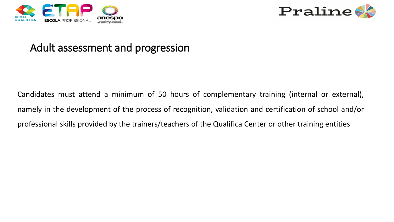



Candidates must attend a minimum of 50 hours of complementary training (internal or external), namely in the development of the process of recognition, validation and certification of school and/or professional skills provided by the trainers/teachers of the Qualifica Center or other training entities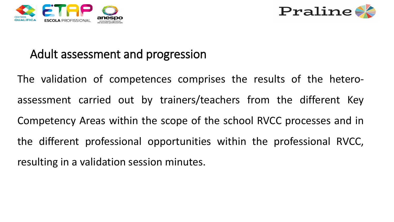



The validation of competences comprises the results of the heteroassessment carried out by trainers/teachers from the different Key Competency Areas within the scope of the school RVCC processes and in the different professional opportunities within the professional RVCC, resulting in a validation session minutes.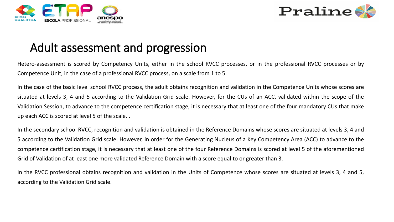



Hetero-assessment is scored by Competency Units, either in the school RVCC processes, or in the professional RVCC processes or by Competence Unit, in the case of a professional RVCC process, on a scale from 1 to 5.

In the case of the basic level school RVCC process, the adult obtains recognition and validation in the Competence Units whose scores are situated at levels 3, 4 and 5 according to the Validation Grid scale. However, for the CUs of an ACC, validated within the scope of the Validation Session, to advance to the competence certification stage, it is necessary that at least one of the four mandatory CUs that make up each ACC is scored at level 5 of the scale. .

In the secondary school RVCC, recognition and validation is obtained in the Reference Domains whose scores are situated at levels 3, 4 and 5 according to the Validation Grid scale. However, in order for the Generating Nucleus of a Key Competency Area (ACC) to advance to the competence certification stage, it is necessary that at least one of the four Reference Domains is scored at level 5 of the aforementioned Grid of Validation of at least one more validated Reference Domain with a score equal to or greater than 3.

In the RVCC professional obtains recognition and validation in the Units of Competence whose scores are situated at levels 3, 4 and 5, according to the Validation Grid scale.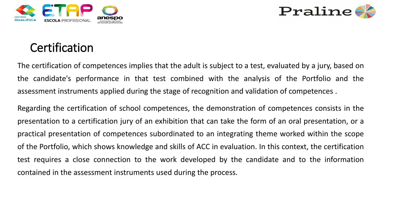



# **Certification**

The certification of competences implies that the adult is subject to a test, evaluated by a jury, based on the candidate's performance in that test combined with the analysis of the Portfolio and the assessment instruments applied during the stage of recognition and validation of competences .

Regarding the certification of school competences, the demonstration of competences consists in the presentation to a certification jury of an exhibition that can take the form of an oral presentation, or a practical presentation of competences subordinated to an integrating theme worked within the scope of the Portfolio, which shows knowledge and skills of ACC in evaluation. In this context, the certification test requires a close connection to the work developed by the candidate and to the information contained in the assessment instruments used during the process.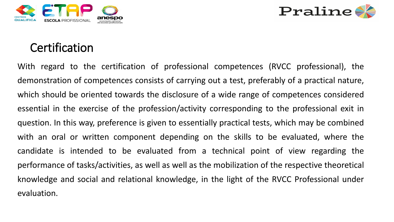



# **Certification**

With regard to the certification of professional competences (RVCC professional), the demonstration of competences consists of carrying out a test, preferably of a practical nature, which should be oriented towards the disclosure of a wide range of competences considered essential in the exercise of the profession/activity corresponding to the professional exit in question. In this way, preference is given to essentially practical tests, which may be combined with an oral or written component depending on the skills to be evaluated, where the candidate is intended to be evaluated from a technical point of view regarding the performance of tasks/activities, as well as well as the mobilization of the respective theoretical knowledge and social and relational knowledge, in the light of the RVCC Professional under evaluation.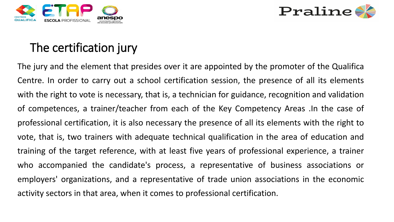



# The certification jury

The jury and the element that presides over it are appointed by the promoter of the Qualifica Centre. In order to carry out a school certification session, the presence of all its elements with the right to vote is necessary, that is, a technician for guidance, recognition and validation of competences, a trainer/teacher from each of the Key Competency Areas .In the case of professional certification, it is also necessary the presence of all its elements with the right to vote, that is, two trainers with adequate technical qualification in the area of education and training of the target reference, with at least five years of professional experience, a trainer who accompanied the candidate's process, a representative of business associations or employers' organizations, and a representative of trade union associations in the economic activity sectors in that area, when it comes to professional certification.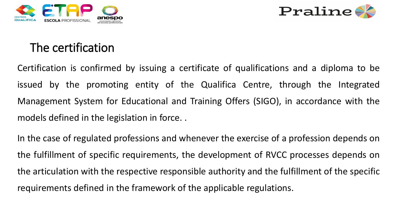



# The certification

Certification is confirmed by issuing a certificate of qualifications and a diploma to be issued by the promoting entity of the Qualifica Centre, through the Integrated Management System for Educational and Training Offers (SIGO), in accordance with the models defined in the legislation in force. .

In the case of regulated professions and whenever the exercise of a profession depends on the fulfillment of specific requirements, the development of RVCC processes depends on the articulation with the respective responsible authority and the fulfillment of the specific requirements defined in the framework of the applicable regulations.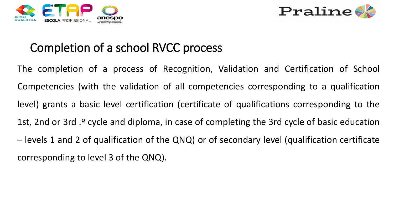



# Completion of a school RVCC process

The completion of a process of Recognition, Validation and Certification of School Competencies (with the validation of all competencies corresponding to a qualification level) grants a basic level certification (certificate of qualifications corresponding to the 1st, 2nd or 3rd .º cycle and diploma, in case of completing the 3rd cycle of basic education – levels 1 and 2 of qualification of the QNQ) or of secondary level (qualification certificate corresponding to level 3 of the QNQ).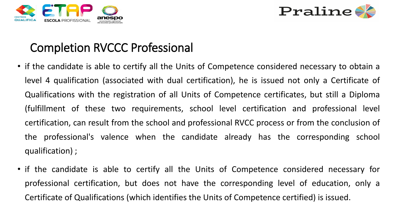



# Completion RVCCC Professional

- if the candidate is able to certify all the Units of Competence considered necessary to obtain a level 4 qualification (associated with dual certification), he is issued not only a Certificate of Qualifications with the registration of all Units of Competence certificates, but still a Diploma (fulfillment of these two requirements, school level certification and professional level certification, can result from the school and professional RVCC process or from the conclusion of the professional's valence when the candidate already has the corresponding school qualification) ;
- if the candidate is able to certify all the Units of Competence considered necessary for professional certification, but does not have the corresponding level of education, only a Certificate of Qualifications (which identifies the Units of Competence certified) is issued.